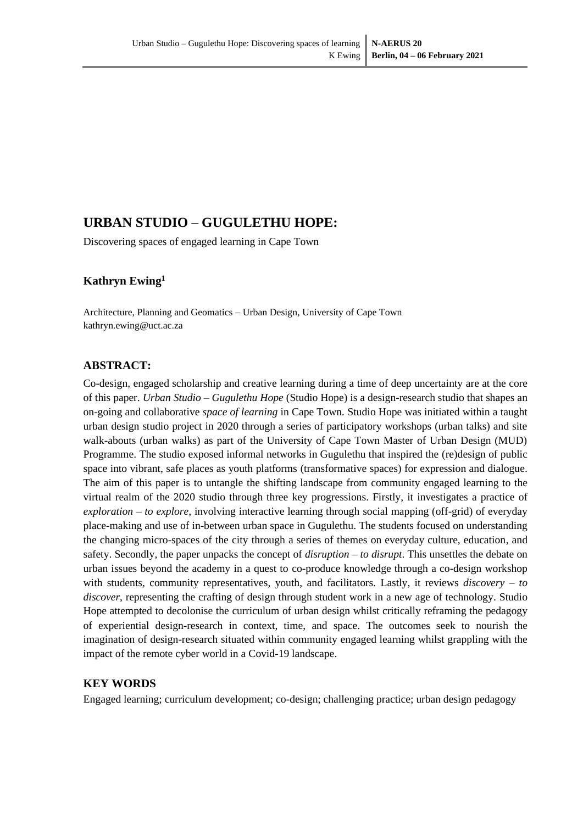# **URBAN STUDIO – GUGULETHU HOPE:**

Discovering spaces of engaged learning in Cape Town

## **Kathryn Ewing<sup>1</sup>**

Architecture, Planning and Geomatics – Urban Design, University of Cape Town kathryn.ewing@uct.ac.za

## **ABSTRACT:**

Co-design, engaged scholarship and creative learning during a time of deep uncertainty are at the core of this paper. *Urban Studio – Gugulethu Hope* (Studio Hope) is a design-research studio that shapes an on-going and collaborative *space of learning* in Cape Town*.* Studio Hope was initiated within a taught urban design studio project in 2020 through a series of participatory workshops (urban talks) and site walk-abouts (urban walks) as part of the University of Cape Town Master of Urban Design (MUD) Programme. The studio exposed informal networks in Gugulethu that inspired the (re)design of public space into vibrant, safe places as youth platforms (transformative spaces) for expression and dialogue. The aim of this paper is to untangle the shifting landscape from community engaged learning to the virtual realm of the 2020 studio through three key progressions. Firstly, it investigates a practice of *exploration – to explore*, involving interactive learning through social mapping (off-grid) of everyday place-making and use of in-between urban space in Gugulethu. The students focused on understanding the changing micro-spaces of the city through a series of themes on everyday culture, education, and safety. Secondly, the paper unpacks the concept of *disruption – to disrupt*. This unsettles the debate on urban issues beyond the academy in a quest to co-produce knowledge through a co-design workshop with students, community representatives, youth, and facilitators. Lastly, it reviews *discovery – to discover*, representing the crafting of design through student work in a new age of technology. Studio Hope attempted to decolonise the curriculum of urban design whilst critically reframing the pedagogy of experiential design-research in context, time, and space. The outcomes seek to nourish the imagination of design-research situated within community engaged learning whilst grappling with the impact of the remote cyber world in a Covid-19 landscape.

## **KEY WORDS**

Engaged learning; curriculum development; co-design; challenging practice; urban design pedagogy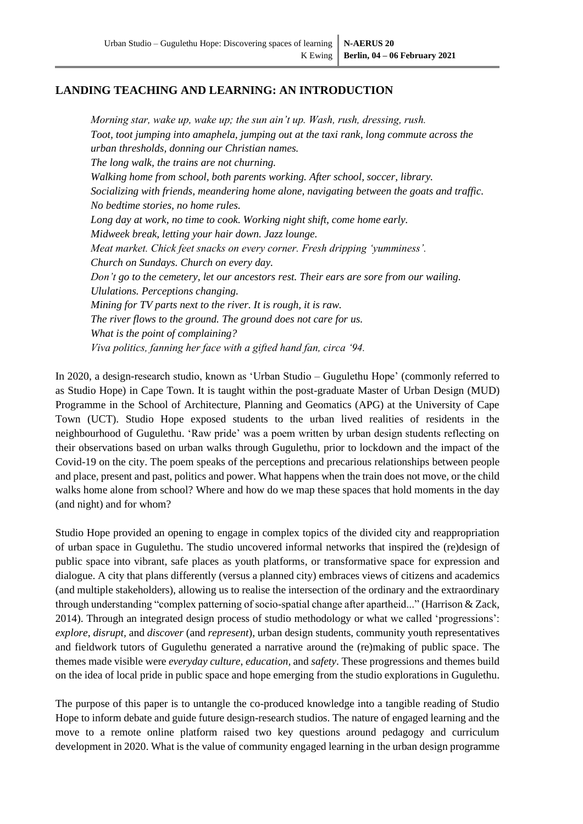## **LANDING TEACHING AND LEARNING: AN INTRODUCTION**

*Morning star, wake up, wake up; the sun ain't up. Wash, rush, dressing, rush. Toot, toot jumping into amaphela, jumping out at the taxi rank, long commute across the urban thresholds, donning our Christian names. The long walk, the trains are not churning. Walking home from school, both parents working. After school, soccer, library. Socializing with friends, meandering home alone, navigating between the goats and traffic. No bedtime stories, no home rules. Long day at work, no time to cook. Working night shift, come home early. Midweek break, letting your hair down. Jazz lounge. Meat market. Chick feet snacks on every corner. Fresh dripping 'yumminess'. Church on Sundays. Church on every day. Don't go to the cemetery, let our ancestors rest. Their ears are sore from our wailing. Ululations. Perceptions changing. Mining for TV parts next to the river. It is rough, it is raw. The river flows to the ground. The ground does not care for us. What is the point of complaining? Viva politics, fanning her face with a gifted hand fan, circa '94.*

In 2020, a design-research studio, known as 'Urban Studio – Gugulethu Hope' (commonly referred to as Studio Hope) in Cape Town. It is taught within the post-graduate Master of Urban Design (MUD) Programme in the School of Architecture, Planning and Geomatics (APG) at the University of Cape Town (UCT). Studio Hope exposed students to the urban lived realities of residents in the neighbourhood of Gugulethu. 'Raw pride' was a poem written by urban design students reflecting on their observations based on urban walks through Gugulethu, prior to lockdown and the impact of the Covid-19 on the city. The poem speaks of the perceptions and precarious relationships between people and place, present and past, politics and power. What happens when the train does not move, or the child walks home alone from school? Where and how do we map these spaces that hold moments in the day (and night) and for whom?

Studio Hope provided an opening to engage in complex topics of the divided city and reappropriation of urban space in Gugulethu. The studio uncovered informal networks that inspired the (re)design of public space into vibrant, safe places as youth platforms, or transformative space for expression and dialogue. A city that plans differently (versus a planned city) embraces views of citizens and academics (and multiple stakeholders), allowing us to realise the intersection of the ordinary and the extraordinary through understanding "complex patterning of socio-spatial change after apartheid..." [\(Harrison & Zack,](#page-10-0)  [2014\)](#page-10-0). Through an integrated design process of studio methodology or what we called 'progressions': *explore*, *disrupt,* and *discover* (and *represent*), urban design students, community youth representatives and fieldwork tutors of Gugulethu generated a narrative around the (re)making of public space. The themes made visible were *everyday culture*, *education,* and *safety*. These progressions and themes build on the idea of local pride in public space and hope emerging from the studio explorations in Gugulethu.

The purpose of this paper is to untangle the co-produced knowledge into a tangible reading of Studio Hope to inform debate and guide future design-research studios. The nature of engaged learning and the move to a remote online platform raised two key questions around pedagogy and curriculum development in 2020. What is the value of community engaged learning in the urban design programme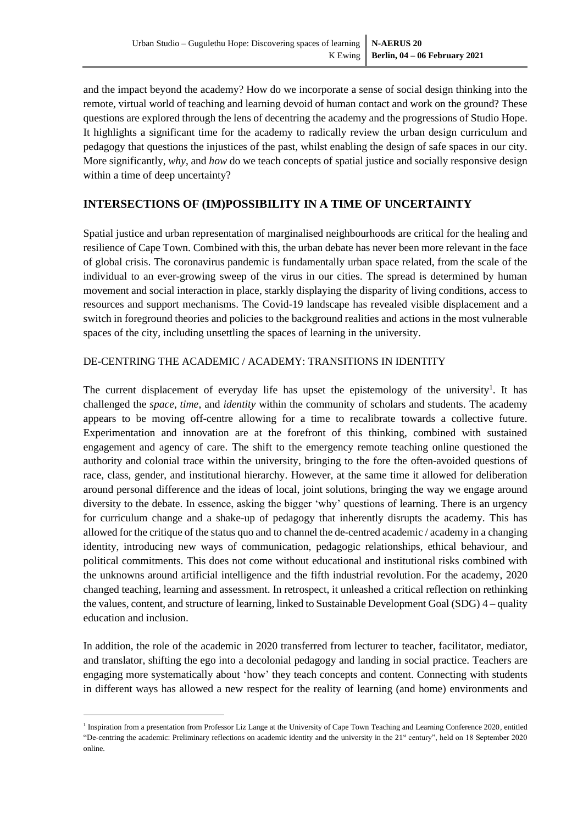and the impact beyond the academy? How do we incorporate a sense of social design thinking into the remote, virtual world of teaching and learning devoid of human contact and work on the ground? These questions are explored through the lens of decentring the academy and the progressions of Studio Hope. It highlights a significant time for the academy to radically review the urban design curriculum and pedagogy that questions the injustices of the past, whilst enabling the design of safe spaces in our city. More significantly, *why*, and *how* do we teach concepts of spatial justice and socially responsive design within a time of deep uncertainty?

## **INTERSECTIONS OF (IM)POSSIBILITY IN A TIME OF UNCERTAINTY**

Spatial justice and urban representation of marginalised neighbourhoods are critical for the healing and resilience of Cape Town. Combined with this, the urban debate has never been more relevant in the face of global crisis. The coronavirus pandemic is fundamentally urban space related, from the scale of the individual to an ever-growing sweep of the virus in our cities. The spread is determined by human movement and social interaction in place, starkly displaying the disparity of living conditions, access to resources and support mechanisms. The Covid-19 landscape has revealed visible displacement and a switch in foreground theories and policies to the background realities and actions in the most vulnerable spaces of the city, including unsettling the spaces of learning in the university.

## DE-CENTRING THE ACADEMIC / ACADEMY: TRANSITIONS IN IDENTITY

The current displacement of everyday life has upset the epistemology of the university<sup>1</sup>. It has challenged the *space, time*, and *identity* within the community of scholars and students. The academy appears to be moving off-centre allowing for a time to recalibrate towards a collective future. Experimentation and innovation are at the forefront of this thinking, combined with sustained engagement and agency of care. The shift to the emergency remote teaching online questioned the authority and colonial trace within the university, bringing to the fore the often-avoided questions of race, class, gender, and institutional hierarchy. However, at the same time it allowed for deliberation around personal difference and the ideas of local, joint solutions, bringing the way we engage around diversity to the debate. In essence, asking the bigger 'why' questions of learning. There is an urgency for curriculum change and a shake-up of pedagogy that inherently disrupts the academy. This has allowed for the critique of the status quo and to channel the de-centred academic / academy in a changing identity, introducing new ways of communication, pedagogic relationships, ethical behaviour, and political commitments. This does not come without educational and institutional risks combined with the unknowns around artificial intelligence and the fifth industrial revolution. For the academy, 2020 changed teaching, learning and assessment. In retrospect, it unleashed a critical reflection on rethinking the values, content, and structure of learning, linked to Sustainable Development Goal (SDG) 4 – quality education and inclusion.

In addition, the role of the academic in 2020 transferred from lecturer to teacher, facilitator, mediator, and translator, shifting the ego into a decolonial pedagogy and landing in social practice. Teachers are engaging more systematically about 'how' they teach concepts and content. Connecting with students in different ways has allowed a new respect for the reality of learning (and home) environments and

<sup>&</sup>lt;sup>1</sup> Inspiration from a presentation from Professor Liz Lange at the University of Cape Town Teaching and Learning Conference 2020, entitled "De-centring the academic: Preliminary reflections on academic identity and the university in the 21<sup>st</sup> century", held on 18 September 2020 online.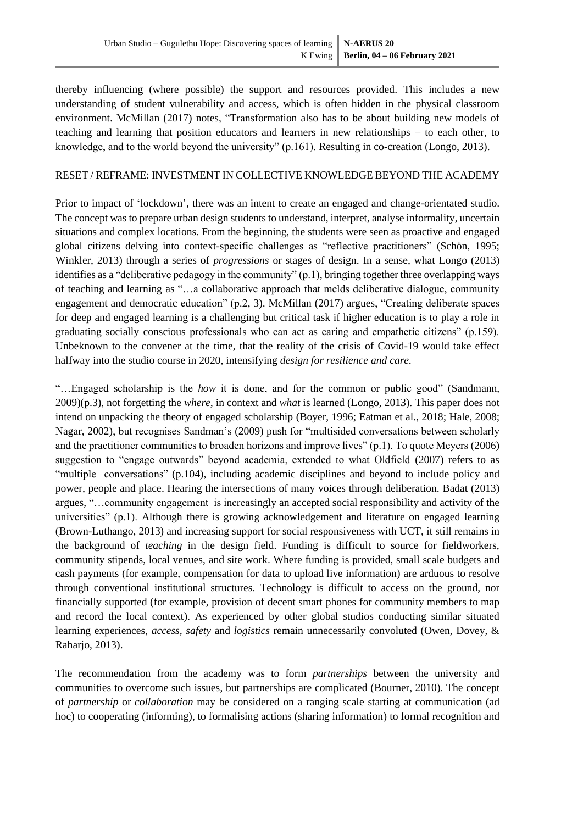thereby influencing (where possible) the support and resources provided. This includes a new understanding of student vulnerability and access, which is often hidden in the physical classroom environment. McMillan [\(2017\)](#page-10-1) notes, "Transformation also has to be about building new models of teaching and learning that position educators and learners in new relationships – to each other, to knowledge, and to the world beyond the university" (p.161). Resulting in co-creation [\(Longo, 2013\)](#page-10-2).

#### RESET / REFRAME: INVESTMENT IN COLLECTIVE KNOWLEDGE BEYOND THE ACADEMY

Prior to impact of 'lockdown', there was an intent to create an engaged and change-orientated studio. The concept was to prepare urban design students to understand, interpret, analyse informality, uncertain situations and complex locations. From the beginning, the students were seen as proactive and engaged global citizens delving into context-specific challenges as "reflective practitioners" [\(Schön, 1995;](#page-10-3) [Winkler, 2013\)](#page-11-0) through a series of *progressions* or stages of design. In a sense, what Longo [\(2013\)](#page-10-2) identifies as a "deliberative pedagogy in the community" (p.1), bringing together three overlapping ways of teaching and learning as "…a collaborative approach that melds deliberative dialogue, community engagement and democratic education" (p.2, 3). McMillan [\(2017\)](#page-10-1) argues, "Creating deliberate spaces for deep and engaged learning is a challenging but critical task if higher education is to play a role in graduating socially conscious professionals who can act as caring and empathetic citizens" (p.159). Unbeknown to the convener at the time, that the reality of the crisis of Covid-19 would take effect halfway into the studio course in 2020, intensifying *design for resilience and care*.

"…Engaged scholarship is the *how* it is done, and for the common or public good" [\(Sandmann,](#page-10-4)  [2009\)](#page-10-4)(p.3), not forgetting the *where*, in context and *what* is learned [\(Longo, 2013\)](#page-10-2). This paper does not intend on unpacking the theory of engaged scholarship [\(Boyer, 1996;](#page-9-0) [Eatman et al., 2018;](#page-10-5) [Hale, 2008;](#page-10-6) [Nagar, 2002\)](#page-10-7), but recognises Sandman's [\(2009\)](#page-10-4) push for "multisided conversations between scholarly and the practitioner communities to broaden horizons and improve lives" (p.1). To quote Meyers [\(2006\)](#page-10-8) suggestion to "engage outwards" beyond academia, extended to what Oldfield [\(2007\)](#page-10-9) refers to as "multiple conversations" (p.104), including academic disciplines and beyond to include policy and power, people and place. Hearing the intersections of many voices through deliberation. Badat [\(2013\)](#page-9-1) argues, "…community engagement is increasingly an accepted social responsibility and activity of the universities" (p.1). Although there is growing acknowledgement and literature on engaged learning [\(Brown-Luthango, 2013\)](#page-9-2) and increasing support for social responsiveness with UCT, it still remains in the background of *teaching* in the design field. Funding is difficult to source for fieldworkers, community stipends, local venues, and site work. Where funding is provided, small scale budgets and cash payments (for example, compensation for data to upload live information) are arduous to resolve through conventional institutional structures. Technology is difficult to access on the ground, nor financially supported (for example, provision of decent smart phones for community members to map and record the local context). As experienced by other global studios conducting similar situated learning experiences, *access, safety* and *logistics* remain unnecessarily convoluted [\(Owen, Dovey, &](#page-10-10)  [Raharjo, 2013\)](#page-10-10).

The recommendation from the academy was to form *partnerships* between the university and communities to overcome such issues, but partnerships are complicated [\(Bourner, 2010\)](#page-9-3). The concept of *partnership* or *collaboration* may be considered on a ranging scale starting at communication (ad hoc) to cooperating (informing), to formalising actions (sharing information) to formal recognition and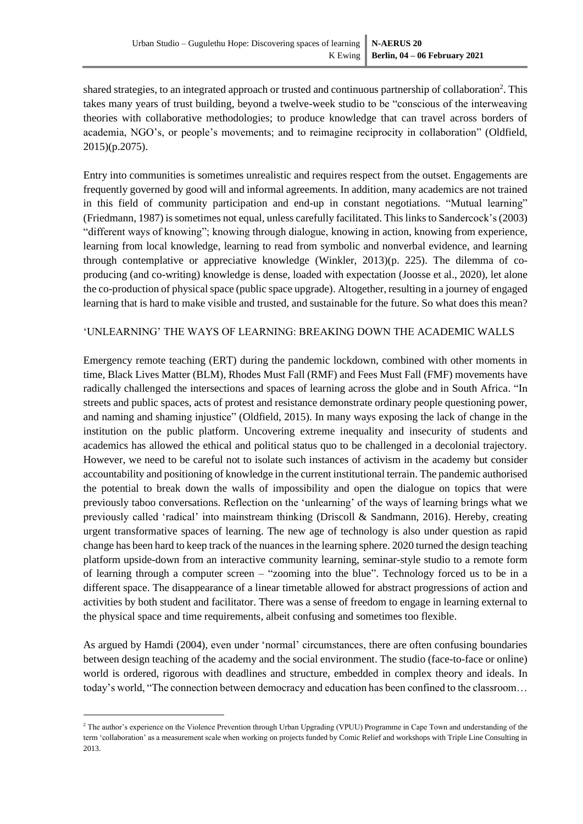shared strategies, to an integrated approach or trusted and continuous partnership of collaboration<sup>2</sup>. This takes many years of trust building, beyond a twelve-week studio to be "conscious of the interweaving theories with collaborative methodologies; to produce knowledge that can travel across borders of academia, NGO's, or people's movements; and to reimagine reciprocity in collaboration" [\(Oldfield,](#page-10-11)  [2015\)](#page-10-11)(p.2075).

Entry into communities is sometimes unrealistic and requires respect from the outset. Engagements are frequently governed by good will and informal agreements. In addition, many academics are not trained in this field of community participation and end-up in constant negotiations. "Mutual learning" [\(Friedmann, 1987\)](#page-10-12) is sometimes not equal, unless carefully facilitated. This linksto Sandercock's [\(2003\)](#page-10-13) "different ways of knowing"; knowing through dialogue, knowing in action, knowing from experience, learning from local knowledge, learning to read from symbolic and nonverbal evidence, and learning through contemplative or appreciative knowledge [\(Winkler, 2013\)](#page-11-0) $(p. 225)$ . The dilemma of coproducing (and co-writing) knowledge is dense, loaded with expectation [\(Joosse et al., 2020\)](#page-10-14), let alone the co-production of physical space (public space upgrade). Altogether, resulting in a journey of engaged learning that is hard to make visible and trusted, and sustainable for the future. So what does this mean?

#### 'UNLEARNING' THE WAYS OF LEARNING: BREAKING DOWN THE ACADEMIC WALLS

Emergency remote teaching (ERT) during the pandemic lockdown, combined with other moments in time, Black Lives Matter (BLM), Rhodes Must Fall (RMF) and Fees Must Fall (FMF) movements have radically challenged the intersections and spaces of learning across the globe and in South Africa. "In streets and public spaces, acts of protest and resistance demonstrate ordinary people questioning power, and naming and shaming injustice" [\(Oldfield, 2015\)](#page-10-11). In many ways exposing the lack of change in the institution on the public platform. Uncovering extreme inequality and insecurity of students and academics has allowed the ethical and political status quo to be challenged in a decolonial trajectory. However, we need to be careful not to isolate such instances of activism in the academy but consider accountability and positioning of knowledge in the current institutional terrain. The pandemic authorised the potential to break down the walls of impossibility and open the dialogue on topics that were previously taboo conversations. Reflection on the 'unlearning' of the ways of learning brings what we previously called 'radical' into mainstream thinking [\(Driscoll & Sandmann, 2016\)](#page-9-4). Hereby, creating urgent transformative spaces of learning. The new age of technology is also under question as rapid change has been hard to keep track of the nuances in the learning sphere. 2020 turned the design teaching platform upside-down from an interactive community learning, seminar-style studio to a remote form of learning through a computer screen – "zooming into the blue". Technology forced us to be in a different space. The disappearance of a linear timetable allowed for abstract progressions of action and activities by both student and facilitator. There was a sense of freedom to engage in learning external to the physical space and time requirements, albeit confusing and sometimes too flexible.

As argued by Hamdi [\(2004\)](#page-10-15), even under 'normal' circumstances, there are often confusing boundaries between design teaching of the academy and the social environment. The studio (face-to-face or online) world is ordered, rigorous with deadlines and structure, embedded in complex theory and ideals. In today's world, "The connection between democracy and education has been confined to the classroom…

<sup>&</sup>lt;sup>2</sup> The author's experience on the Violence Prevention through Urban Upgrading (VPUU) Programme in Cape Town and understanding of the term 'collaboration' as a measurement scale when working on projects funded by Comic Relief and workshops with Triple Line Consulting in 2013.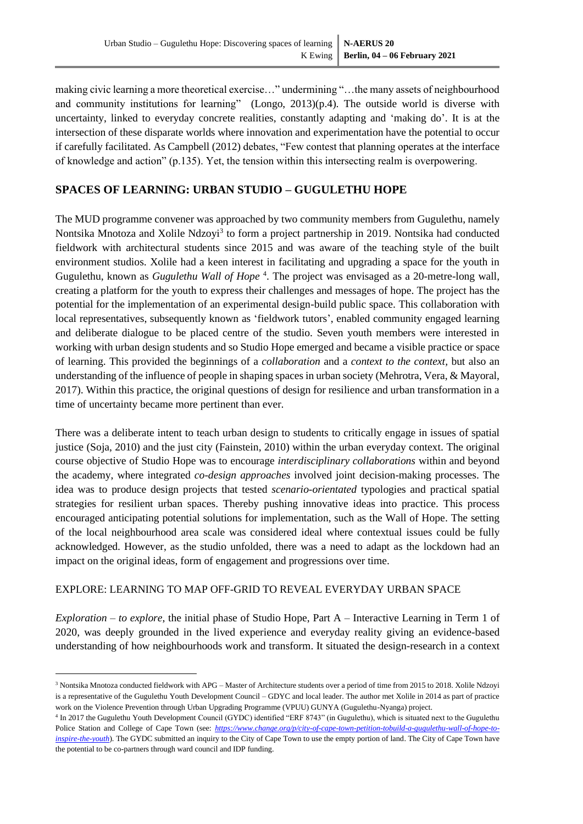making civic learning a more theoretical exercise…" undermining "…the many assets of neighbourhood and community institutions for learning" [\(Longo, 2013\)](#page-10-2) $(p.4)$ . The outside world is diverse with uncertainty, linked to everyday concrete realities, constantly adapting and 'making do'. It is at the intersection of these disparate worlds where innovation and experimentation have the potential to occur if carefully facilitated. As Campbell [\(2012\)](#page-9-5) debates, "Few contest that planning operates at the interface of knowledge and action" (p.135). Yet, the tension within this intersecting realm is overpowering.

## **SPACES OF LEARNING: URBAN STUDIO – GUGULETHU HOPE**

The MUD programme convener was approached by two community members from Gugulethu, namely Nontsika Mnotoza and Xolile Ndzoyi<sup>3</sup> to form a project partnership in 2019. Nontsika had conducted fieldwork with architectural students since 2015 and was aware of the teaching style of the built environment studios. Xolile had a keen interest in facilitating and upgrading a space for the youth in Gugulethu, known as *Gugulethu Wall of Hope*<sup>4</sup>. The project was envisaged as a 20-metre-long wall, creating a platform for the youth to express their challenges and messages of hope. The project has the potential for the implementation of an experimental design-build public space. This collaboration with local representatives, subsequently known as 'fieldwork tutors', enabled community engaged learning and deliberate dialogue to be placed centre of the studio. Seven youth members were interested in working with urban design students and so Studio Hope emerged and became a visible practice or space of learning. This provided the beginnings of a *collaboration* and a *context to the context,* but also an understanding of the influence of people in shaping spaces in urban society [\(Mehrotra, Vera, & Mayoral,](#page-10-16)  [2017\)](#page-10-16). Within this practice, the original questions of design for resilience and urban transformation in a time of uncertainty became more pertinent than ever.

There was a deliberate intent to teach urban design to students to critically engage in issues of spatial justice [\(Soja, 2010\)](#page-11-1) and the just city [\(Fainstein, 2010\)](#page-10-17) within the urban everyday context. The original course objective of Studio Hope was to encourage *interdisciplinary collaborations* within and beyond the academy, where integrated *co-design approaches* involved joint decision-making processes. The idea was to produce design projects that tested *scenario-orientated* typologies and practical spatial strategies for resilient urban spaces. Thereby pushing innovative ideas into practice. This process encouraged anticipating potential solutions for implementation, such as the Wall of Hope. The setting of the local neighbourhood area scale was considered ideal where contextual issues could be fully acknowledged. However, as the studio unfolded, there was a need to adapt as the lockdown had an impact on the original ideas, form of engagement and progressions over time.

## EXPLORE: LEARNING TO MAP OFF-GRID TO REVEAL EVERYDAY URBAN SPACE

*Exploration – to explore*, the initial phase of Studio Hope, Part A – Interactive Learning in Term 1 of 2020, was deeply grounded in the lived experience and everyday reality giving an evidence-based understanding of how neighbourhoods work and transform. It situated the design-research in a context

<sup>3</sup> Nontsika Mnotoza conducted fieldwork with APG – Master of Architecture students over a period of time from 2015 to 2018. Xolile Ndzoyi is a representative of the Gugulethu Youth Development Council – GDYC and local leader. The author met Xolile in 2014 as part of practice work on the Violence Prevention through Urban Upgrading Programme (VPUU) GUNYA (Gugulethu-Nyanga) project.

<sup>4</sup> In 2017 the Gugulethu Youth Development Council (GYDC) identified "ERF 8743" (in Gugulethu), which is situated next to the Gugulethu Police Station and College of Cape Town (see: *[https://www.change.org/p/city-of-cape-town-petition-tobuild-a-gugulethu-wall-of-hope-to](https://www.change.org/p/city-of-cape-town-petition-tobuild-a-gugulethu-wall-of-hope-to-inspire-the-youth)[inspire-the-youth](https://www.change.org/p/city-of-cape-town-petition-tobuild-a-gugulethu-wall-of-hope-to-inspire-the-youth)*). The GYDC submitted an inquiry to the City of Cape Town to use the empty portion of land. The City of Cape Town have the potential to be co-partners through ward council and IDP funding.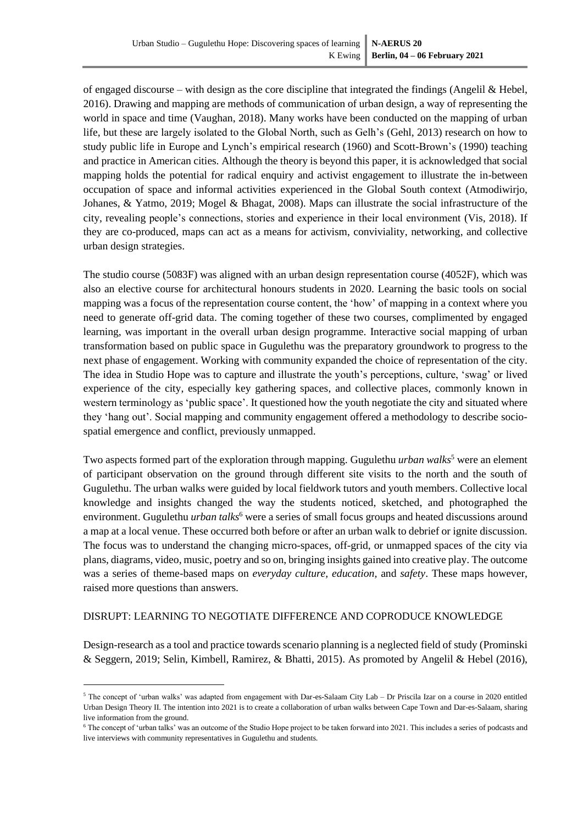of engaged discourse – with design as the core discipline that integrated the findings (Angelil & Hebel, [2016\)](#page-9-6). Drawing and mapping are methods of communication of urban design, a way of representing the world in space and time [\(Vaughan, 2018\)](#page-11-2). Many works have been conducted on the mapping of urban life, but these are largely isolated to the Global North, such as Gelh's [\(Gehl, 2013\)](#page-10-18) research on how to study public life in Europe and Lynch's empirical research [\(1960\)](#page-10-19) and Scott-Brown's [\(1990\)](#page-10-20) teaching and practice in American cities. Although the theory is beyond this paper, it is acknowledged that social mapping holds the potential for radical enquiry and activist engagement to illustrate the in-between occupation of space and informal activities experienced in the Global South context [\(Atmodiwirjo,](#page-9-7)  [Johanes, & Yatmo, 2019;](#page-9-7) [Mogel & Bhagat, 2008\)](#page-10-21). Maps can illustrate the social infrastructure of the city, revealing people's connections, stories and experience in their local environment [\(Vis, 2018\)](#page-11-3). If they are co-produced, maps can act as a means for activism, conviviality, networking, and collective urban design strategies.

The studio course (5083F) was aligned with an urban design representation course (4052F), which was also an elective course for architectural honours students in 2020. Learning the basic tools on social mapping was a focus of the representation course content, the 'how' of mapping in a context where you need to generate off-grid data. The coming together of these two courses, complimented by engaged learning, was important in the overall urban design programme. Interactive social mapping of urban transformation based on public space in Gugulethu was the preparatory groundwork to progress to the next phase of engagement. Working with community expanded the choice of representation of the city. The idea in Studio Hope was to capture and illustrate the youth's perceptions, culture, 'swag' or lived experience of the city, especially key gathering spaces, and collective places, commonly known in western terminology as 'public space'. It questioned how the youth negotiate the city and situated where they 'hang out'. Social mapping and community engagement offered a methodology to describe sociospatial emergence and conflict, previously unmapped.

Two aspects formed part of the exploration through mapping. Gugulethu *urban walks*<sup>5</sup> were an element of participant observation on the ground through different site visits to the north and the south of Gugulethu. The urban walks were guided by local fieldwork tutors and youth members. Collective local knowledge and insights changed the way the students noticed, sketched, and photographed the environment. Gugulethu *urban talks*<sup>6</sup> were a series of small focus groups and heated discussions around a map at a local venue. These occurred both before or after an urban walk to debrief or ignite discussion. The focus was to understand the changing micro-spaces, off-grid, or unmapped spaces of the city via plans, diagrams, video, music, poetry and so on, bringing insights gained into creative play. The outcome was a series of theme-based maps on *everyday culture, education,* and *safety*. These maps however, raised more questions than answers.

## DISRUPT: LEARNING TO NEGOTIATE DIFFERENCE AND COPRODUCE KNOWLEDGE

Design-research as a tool and practice towards scenario planning is a neglected field of study [\(Prominski](#page-10-22)  [& Seggern, 2019;](#page-10-22) [Selin, Kimbell, Ramirez, & Bhatti, 2015\)](#page-11-4). As promoted by Angelil & Hebel [\(2016\)](#page-9-6),

<sup>5</sup> The concept of 'urban walks' was adapted from engagement with Dar-es-Salaam City Lab – Dr Priscila Izar on a course in 2020 entitled Urban Design Theory II. The intention into 2021 is to create a collaboration of urban walks between Cape Town and Dar-es-Salaam, sharing live information from the ground.

<sup>&</sup>lt;sup>6</sup> The concept of 'urban talks' was an outcome of the Studio Hope project to be taken forward into 2021. This includes a series of podcasts and live interviews with community representatives in Gugulethu and students.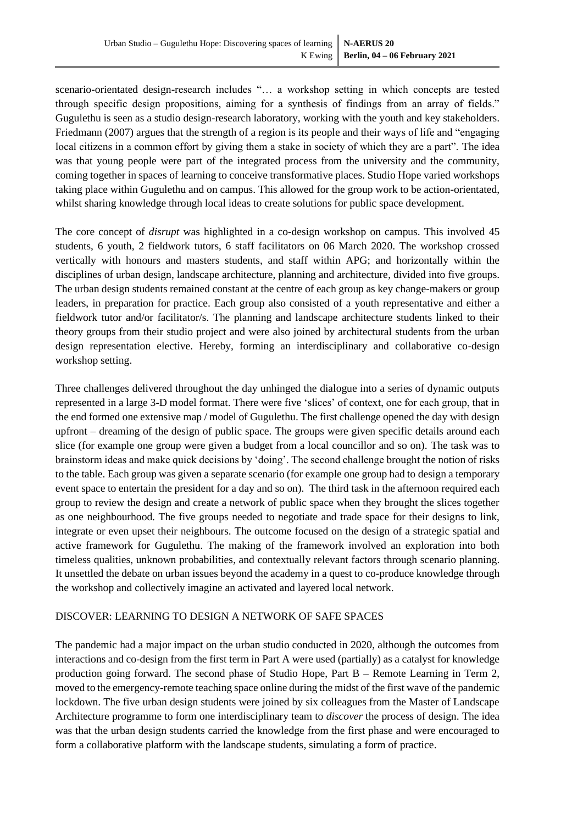scenario-orientated design-research includes "… a workshop setting in which concepts are tested through specific design propositions, aiming for a synthesis of findings from an array of fields." Gugulethu is seen as a studio design-research laboratory, working with the youth and key stakeholders. Friedmann [\(2007\)](#page-10-23) argues that the strength of a region is its people and their ways of life and "engaging local citizens in a common effort by giving them a stake in society of which they are a part". The idea was that young people were part of the integrated process from the university and the community, coming together in spaces of learning to conceive transformative places. Studio Hope varied workshops taking place within Gugulethu and on campus. This allowed for the group work to be action-orientated, whilst sharing knowledge through local ideas to create solutions for public space development.

The core concept of *disrupt* was highlighted in a co-design workshop on campus. This involved 45 students, 6 youth, 2 fieldwork tutors, 6 staff facilitators on 06 March 2020. The workshop crossed vertically with honours and masters students, and staff within APG; and horizontally within the disciplines of urban design, landscape architecture, planning and architecture, divided into five groups. The urban design students remained constant at the centre of each group as key change-makers or group leaders, in preparation for practice. Each group also consisted of a youth representative and either a fieldwork tutor and/or facilitator/s. The planning and landscape architecture students linked to their theory groups from their studio project and were also joined by architectural students from the urban design representation elective. Hereby, forming an interdisciplinary and collaborative co-design workshop setting.

Three challenges delivered throughout the day unhinged the dialogue into a series of dynamic outputs represented in a large 3-D model format. There were five 'slices' of context, one for each group, that in the end formed one extensive map / model of Gugulethu. The first challenge opened the day with design upfront – dreaming of the design of public space. The groups were given specific details around each slice (for example one group were given a budget from a local councillor and so on). The task was to brainstorm ideas and make quick decisions by 'doing'. The second challenge brought the notion of risks to the table. Each group was given a separate scenario (for example one group had to design a temporary event space to entertain the president for a day and so on). The third task in the afternoon required each group to review the design and create a network of public space when they brought the slices together as one neighbourhood. The five groups needed to negotiate and trade space for their designs to link, integrate or even upset their neighbours. The outcome focused on the design of a strategic spatial and active framework for Gugulethu. The making of the framework involved an exploration into both timeless qualities, unknown probabilities, and contextually relevant factors through scenario planning. It unsettled the debate on urban issues beyond the academy in a quest to co-produce knowledge through the workshop and collectively imagine an activated and layered local network.

#### DISCOVER: LEARNING TO DESIGN A NETWORK OF SAFE SPACES

The pandemic had a major impact on the urban studio conducted in 2020, although the outcomes from interactions and co-design from the first term in Part A were used (partially) as a catalyst for knowledge production going forward. The second phase of Studio Hope, Part B – Remote Learning in Term 2, moved to the emergency-remote teaching space online during the midst of the first wave of the pandemic lockdown. The five urban design students were joined by six colleagues from the Master of Landscape Architecture programme to form one interdisciplinary team to *discover* the process of design. The idea was that the urban design students carried the knowledge from the first phase and were encouraged to form a collaborative platform with the landscape students, simulating a form of practice.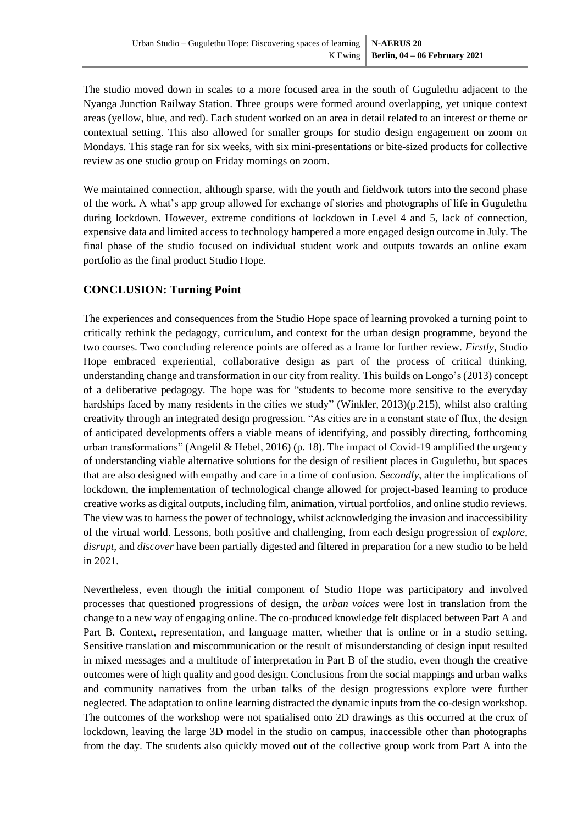The studio moved down in scales to a more focused area in the south of Gugulethu adjacent to the Nyanga Junction Railway Station. Three groups were formed around overlapping, yet unique context areas (yellow, blue, and red). Each student worked on an area in detail related to an interest or theme or contextual setting. This also allowed for smaller groups for studio design engagement on zoom on Mondays. This stage ran for six weeks, with six mini-presentations or bite-sized products for collective review as one studio group on Friday mornings on zoom.

We maintained connection, although sparse, with the youth and fieldwork tutors into the second phase of the work. A what's app group allowed for exchange of stories and photographs of life in Gugulethu during lockdown. However, extreme conditions of lockdown in Level 4 and 5, lack of connection, expensive data and limited access to technology hampered a more engaged design outcome in July. The final phase of the studio focused on individual student work and outputs towards an online exam portfolio as the final product Studio Hope.

## **CONCLUSION: Turning Point**

The experiences and consequences from the Studio Hope space of learning provoked a turning point to critically rethink the pedagogy, curriculum, and context for the urban design programme, beyond the two courses. Two concluding reference points are offered as a frame for further review. *Firstly*, Studio Hope embraced experiential, collaborative design as part of the process of critical thinking, understanding change and transformation in our city from reality. This builds on Longo's [\(2013\)](#page-10-2) concept of a deliberative pedagogy. The hope was for "students to become more sensitive to the everyday hardships faced by many residents in the cities we study" [\(Winkler, 2013\)](#page-11-0)(p.215), whilst also crafting creativity through an integrated design progression. "As cities are in a constant state of flux, the design of anticipated developments offers a viable means of identifying, and possibly directing, forthcoming urban transformations" [\(Angelil & Hebel, 2016\)](#page-9-6) (p. 18). The impact of Covid-19 amplified the urgency of understanding viable alternative solutions for the design of resilient places in Gugulethu, but spaces that are also designed with empathy and care in a time of confusion. *Secondly*, after the implications of lockdown, the implementation of technological change allowed for project-based learning to produce creative works as digital outputs, including film, animation, virtual portfolios, and online studio reviews. The view was to harness the power of technology, whilst acknowledging the invasion and inaccessibility of the virtual world. Lessons, both positive and challenging, from each design progression of *explore, disrupt,* and *discover* have been partially digested and filtered in preparation for a new studio to be held in 2021.

Nevertheless, even though the initial component of Studio Hope was participatory and involved processes that questioned progressions of design, the *urban voices* were lost in translation from the change to a new way of engaging online. The co-produced knowledge felt displaced between Part A and Part B. Context, representation, and language matter, whether that is online or in a studio setting. Sensitive translation and miscommunication or the result of misunderstanding of design input resulted in mixed messages and a multitude of interpretation in Part B of the studio, even though the creative outcomes were of high quality and good design. Conclusions from the social mappings and urban walks and community narratives from the urban talks of the design progressions explore were further neglected. The adaptation to online learning distracted the dynamic inputs from the co-design workshop. The outcomes of the workshop were not spatialised onto 2D drawings as this occurred at the crux of lockdown, leaving the large 3D model in the studio on campus, inaccessible other than photographs from the day. The students also quickly moved out of the collective group work from Part A into the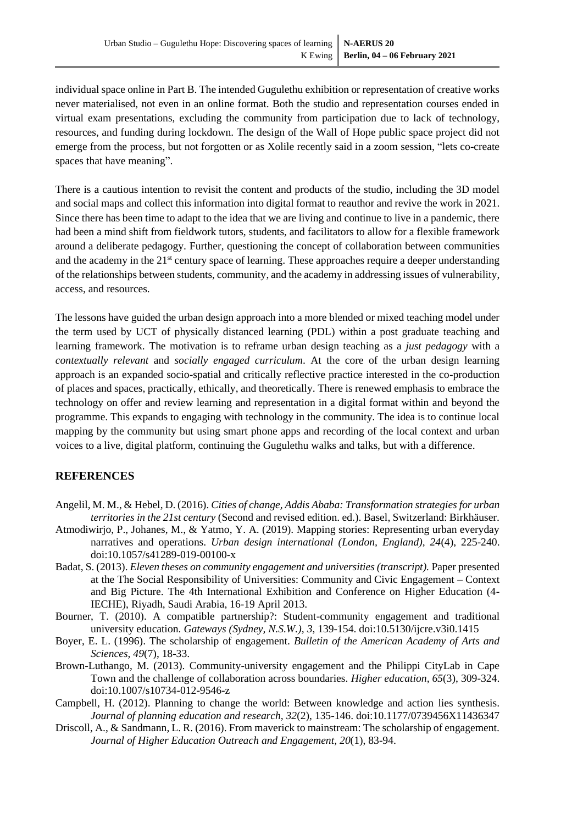individual space online in Part B. The intended Gugulethu exhibition or representation of creative works never materialised, not even in an online format. Both the studio and representation courses ended in virtual exam presentations, excluding the community from participation due to lack of technology, resources, and funding during lockdown. The design of the Wall of Hope public space project did not emerge from the process, but not forgotten or as Xolile recently said in a zoom session, "lets co-create spaces that have meaning".

There is a cautious intention to revisit the content and products of the studio, including the 3D model and social maps and collect this information into digital format to reauthor and revive the work in 2021. Since there has been time to adapt to the idea that we are living and continue to live in a pandemic, there had been a mind shift from fieldwork tutors, students, and facilitators to allow for a flexible framework around a deliberate pedagogy. Further, questioning the concept of collaboration between communities and the academy in the 21<sup>st</sup> century space of learning. These approaches require a deeper understanding of the relationships between students, community, and the academy in addressing issues of vulnerability, access, and resources.

The lessons have guided the urban design approach into a more blended or mixed teaching model under the term used by UCT of physically distanced learning (PDL) within a post graduate teaching and learning framework. The motivation is to reframe urban design teaching as a *just pedagogy* with a *contextually relevant* and *socially engaged curriculum*. At the core of the urban design learning approach is an expanded socio-spatial and critically reflective practice interested in the co-production of places and spaces, practically, ethically, and theoretically. There is renewed emphasis to embrace the technology on offer and review learning and representation in a digital format within and beyond the programme. This expands to engaging with technology in the community. The idea is to continue local mapping by the community but using smart phone apps and recording of the local context and urban voices to a live, digital platform, continuing the Gugulethu walks and talks, but with a difference.

## **REFERENCES**

- <span id="page-9-6"></span>Angelil, M. M., & Hebel, D. (2016). *Cities of change, Addis Ababa: Transformation strategies for urban territories in the 21st century* (Second and revised edition. ed.). Basel, Switzerland: Birkhäuser.
- <span id="page-9-7"></span>Atmodiwirjo, P., Johanes, M., & Yatmo, Y. A. (2019). Mapping stories: Representing urban everyday narratives and operations. *Urban design international (London, England), 24*(4), 225-240. doi:10.1057/s41289-019-00100-x
- <span id="page-9-1"></span>Badat, S. (2013). *Eleven theses on community engagement and universities (transcript).* Paper presented at the The Social Responsibility of Universities: Community and Civic Engagement – Context and Big Picture. The 4th International Exhibition and Conference on Higher Education (4- IECHE), Riyadh, Saudi Arabia, 16-19 April 2013.
- <span id="page-9-3"></span>Bourner, T. (2010). A compatible partnership?: Student-community engagement and traditional university education. *Gateways (Sydney, N.S.W.), 3*, 139-154. doi:10.5130/ijcre.v3i0.1415
- <span id="page-9-0"></span>Boyer, E. L. (1996). The scholarship of engagement. *Bulletin of the American Academy of Arts and Sciences, 49*(7), 18-33.
- <span id="page-9-2"></span>Brown-Luthango, M. (2013). Community-university engagement and the Philippi CityLab in Cape Town and the challenge of collaboration across boundaries. *Higher education, 65*(3), 309-324. doi:10.1007/s10734-012-9546-z
- <span id="page-9-5"></span>Campbell, H. (2012). Planning to change the world: Between knowledge and action lies synthesis. *Journal of planning education and research, 32*(2), 135-146. doi:10.1177/0739456X11436347
- <span id="page-9-4"></span>Driscoll, A., & Sandmann, L. R. (2016). From maverick to mainstream: The scholarship of engagement. *Journal of Higher Education Outreach and Engagement, 20*(1), 83-94.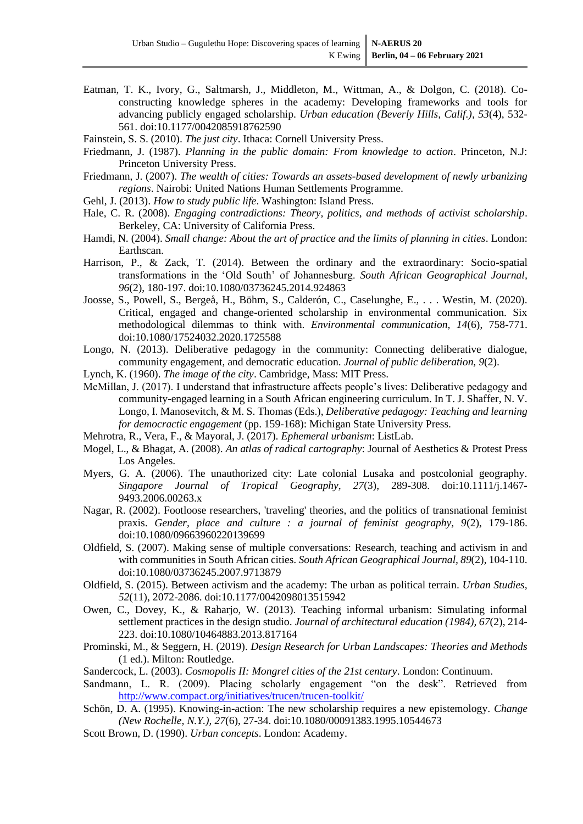<span id="page-10-5"></span>Eatman, T. K., Ivory, G., Saltmarsh, J., Middleton, M., Wittman, A., & Dolgon, C. (2018). Coconstructing knowledge spheres in the academy: Developing frameworks and tools for advancing publicly engaged scholarship. *Urban education (Beverly Hills, Calif.), 53*(4), 532- 561. doi:10.1177/0042085918762590

<span id="page-10-17"></span>Fainstein, S. S. (2010). *The just city*. Ithaca: Cornell University Press.

- <span id="page-10-12"></span>Friedmann, J. (1987). *Planning in the public domain: From knowledge to action*. Princeton, N.J: Princeton University Press.
- <span id="page-10-23"></span>Friedmann, J. (2007). *The wealth of cities: Towards an assets-based development of newly urbanizing regions*. Nairobi: United Nations Human Settlements Programme.
- <span id="page-10-18"></span>Gehl, J. (2013). *How to study public life*. Washington: Island Press.
- <span id="page-10-6"></span>Hale, C. R. (2008). *Engaging contradictions: Theory, politics, and methods of activist scholarship*. Berkeley, CA: University of California Press.
- <span id="page-10-15"></span>Hamdi, N. (2004). *Small change: About the art of practice and the limits of planning in cities*. London: Earthscan.
- <span id="page-10-0"></span>Harrison, P., & Zack, T. (2014). Between the ordinary and the extraordinary: Socio-spatial transformations in the 'Old South' of Johannesburg. *South African Geographical Journal, 96*(2), 180-197. doi:10.1080/03736245.2014.924863
- <span id="page-10-14"></span>Joosse, S., Powell, S., Bergeå, H., Böhm, S., Calderón, C., Caselunghe, E., . . . Westin, M. (2020). Critical, engaged and change-oriented scholarship in environmental communication. Six methodological dilemmas to think with. *Environmental communication, 14*(6), 758-771. doi:10.1080/17524032.2020.1725588
- <span id="page-10-2"></span>Longo, N. (2013). Deliberative pedagogy in the community: Connecting deliberative dialogue, community engagement, and democratic education. *Journal of public deliberation, 9*(2).
- <span id="page-10-19"></span>Lynch, K. (1960). *The image of the city*. Cambridge, Mass: MIT Press.
- <span id="page-10-1"></span>McMillan, J. (2017). I understand that infrastructure affects people's lives: Deliberative pedagogy and community-engaged learning in a South African engineering curriculum. In T. J. Shaffer, N. V. Longo, I. Manosevitch, & M. S. Thomas (Eds.), *Deliberative pedagogy: Teaching and learning for democractic engagement* (pp. 159-168): Michigan State University Press.
- <span id="page-10-16"></span>Mehrotra, R., Vera, F., & Mayoral, J. (2017). *Ephemeral urbanism*: ListLab.
- <span id="page-10-21"></span>Mogel, L., & Bhagat, A. (2008). *An atlas of radical cartography*: Journal of Aesthetics & Protest Press Los Angeles.
- <span id="page-10-8"></span>Myers, G. A. (2006). The unauthorized city: Late colonial Lusaka and postcolonial geography. *Singapore Journal of Tropical Geography, 27*(3), 289-308. doi:10.1111/j.1467- 9493.2006.00263.x
- <span id="page-10-7"></span>Nagar, R. (2002). Footloose researchers, 'traveling' theories, and the politics of transnational feminist praxis. *Gender, place and culture : a journal of feminist geography, 9*(2), 179-186. doi:10.1080/09663960220139699
- <span id="page-10-9"></span>Oldfield, S. (2007). Making sense of multiple conversations: Research, teaching and activism in and with communities in South African cities. *South African Geographical Journal, 89*(2), 104-110. doi:10.1080/03736245.2007.9713879
- <span id="page-10-11"></span>Oldfield, S. (2015). Between activism and the academy: The urban as political terrain. *Urban Studies, 52*(11), 2072-2086. doi:10.1177/0042098013515942
- <span id="page-10-10"></span>Owen, C., Dovey, K., & Raharjo, W. (2013). Teaching informal urbanism: Simulating informal settlement practices in the design studio. *Journal of architectural education (1984), 67*(2), 214- 223. doi:10.1080/10464883.2013.817164
- <span id="page-10-22"></span>Prominski, M., & Seggern, H. (2019). *Design Research for Urban Landscapes: Theories and Methods* (1 ed.). Milton: Routledge.
- <span id="page-10-13"></span>Sandercock, L. (2003). *Cosmopolis II: Mongrel cities of the 21st century*. London: Continuum.
- <span id="page-10-4"></span>Sandmann, L. R. (2009). Placing scholarly engagement "on the desk". Retrieved from <http://www.compact.org/initiatives/trucen/trucen-toolkit/>
- <span id="page-10-3"></span>Schön, D. A. (1995). Knowing-in-action: The new scholarship requires a new epistemology. *Change (New Rochelle, N.Y.), 27*(6), 27-34. doi:10.1080/00091383.1995.10544673
- <span id="page-10-20"></span>Scott Brown, D. (1990). *Urban concepts*. London: Academy.